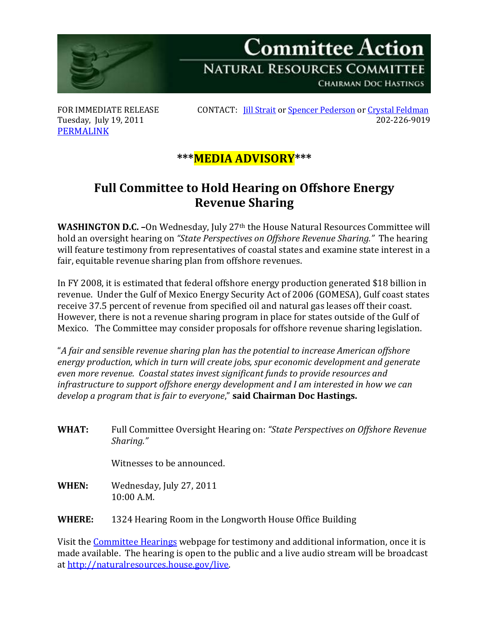

**Committee Action NATURAL RESOURCES COMMITTEE CHAIRMAN DOC HASTINGS** 

Tuesday, July 19, 2011 [PERMALINK](http://naturalresources.house.gov/News/DocumentSingle.aspx?DocumentID=252620)

FOR IMMEDIATE RELEASE CONTACT: *[Jill Strait](mailto:jill.strait@mail.house.gov)* o[r Spencer Pederson](mailto:spencer.pederson@mail.house.gov) o[r Crystal Feldman](mailto:crystal.feldman@mail.house.gov)<br>Tuesday. July 19, 2011

## **\*\*\*MEDIA ADVISORY\*\*\***

## **Full Committee to Hold Hearing on Offshore Energy Revenue Sharing**

**WASHINGTON D.C. -**On Wednesday, July 27<sup>th</sup> the House Natural Resources Committee will hold an oversight hearing on *"State Perspectives on Offshore Revenue Sharing."* The hearing will feature testimony from representatives of coastal states and examine state interest in a fair, equitable revenue sharing plan from offshore revenues.

In FY 2008, it is estimated that federal offshore energy production generated \$18 billion in revenue. Under the Gulf of Mexico Energy Security Act of 2006 (GOMESA), Gulf coast states receive 37.5 percent of revenue from specified oil and natural gas leases off their coast. However, there is not a revenue sharing program in place for states outside of the Gulf of Mexico. The Committee may consider proposals for offshore revenue sharing legislation.

"*A fair and sensible revenue sharing plan has the potential to increase American offshore energy production, which in turn will create jobs, spur economic development and generate even more revenue. Coastal states invest significant funds to provide resources and infrastructure to support offshore energy development and I am interested in how we can develop a program that is fair to everyone*," **said Chairman Doc Hastings.**

**WHAT:** Full Committee Oversight Hearing on: *"State Perspectives on Offshore Revenue Sharing."*

Witnesses to be announced.

- **WHEN:** Wednesday, July 27, 2011 10:00 A.M.
- **WHERE:** 1324 Hearing Room in the Longworth House Office Building

Visit the [Committee Hearings](http://naturalresources.house.gov/Calendar/List.aspx) webpage for testimony and additional information, once it is made available. The hearing is open to the public and a live audio stream will be broadcast at [http://naturalresources.house.gov/live.](http://naturalresources.house.gov/live)